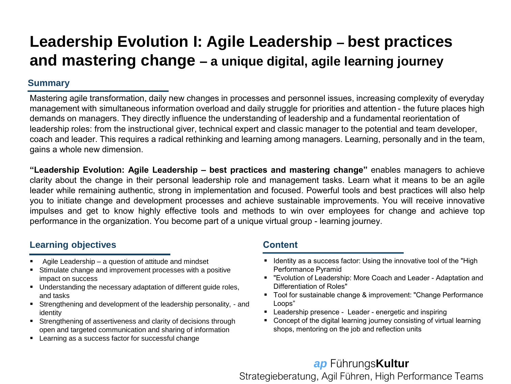# **Leadership Evolution I: Agile Leadership – best practices and mastering change – a unique digital, agile learning journey**

### **Summary**

Mastering agile transformation, daily new changes in processes and personnel issues, increasing complexity of everyday management with simultaneous information overload and daily struggle for priorities and attention - the future places high demands on managers. They directly influence the understanding of leadership and a fundamental reorientation of leadership roles: from the instructional giver, technical expert and classic manager to the potential and team developer, coach and leader. This requires a radical rethinking and learning among managers. Learning, personally and in the team, gains a whole new dimension.

**"Leadership Evolution: Agile Leadership – best practices and mastering change"** enables managers to achieve clarity about the change in their personal leadership role and management tasks. Learn what it means to be an agile leader while remaining authentic, strong in implementation and focused. Powerful tools and best practices will also help you to initiate change and development processes and achieve sustainable improvements. You will receive innovative impulses and get to know highly effective tools and methods to win over employees for change and achieve top performance in the organization. You become part of a unique virtual group - learning journey.

### **Learning objectives Content**

- Agile Leadership a question of attitude and mindset
- Stimulate change and improvement processes with a positive impact on success
- Understanding the necessary adaptation of different quide roles, and tasks
- Strengthening and development of the leadership personality, and identity
- Strengthening of assertiveness and clarity of decisions through open and targeted communication and sharing of information
- Learning as a success factor for successful change

- Identity as a success factor: Using the innovative tool of the "High Performance Pyramid
- "Evolution of Leadership: More Coach and Leader Adaptation and Differentiation of Roles"
- Tool for sustainable change & improvement: "Change Performance Loops"
- Leadership presence Leader energetic and inspiring
- Concept of the digital learning journey consisting of virtual learning shops, mentoring on the job and reflection units

### *ap* Führungs**Kultur** Strategieberatung, Agil Führen, High Performance Teams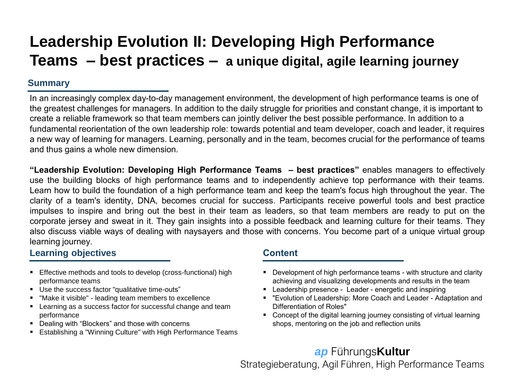# **Leadership Evolution II: Developing High Performance Teams – best practices – a unique digital, agile learning journey**

### **Summary**

In an increasingly complex day-to-day management environment, the development of high performance teams is one of the greatest challenges for managers. In addition to the daily struggle for priorities and constant change, it is important to create a reliable framework so that team members can jointly deliver the best possible performance. In addition to a fundamental reorientation of the own leadership role: towards potential and team developer, coach and leader, it requires a new way of learning for managers. Learning, personally and in the team, becomes crucial for the performance of teams and thus gains a whole new dimension.

**"Leadership Evolution: Developing High Performance Teams – best practices"** enables managers to effectively use the building blocks of high performance teams and to independently achieve top performance with their teams. Learn how to build the foundation of a high performance team and keep the team's focus high throughout the year. The clarity of a team's identity, DNA, becomes crucial for success. Participants receive powerful tools and best practice impulses to inspire and bring out the best in their team as leaders, so that team members are ready to put on the corporate jersey and sweat in it. They gain insights into a possible feedback and learning culture for their teams. They also discuss viable ways of dealing with naysayers and those with concerns. You become part of a unique virtual group learning journey.

### **Learning objectives Content**

- Effective methods and tools to develop (cross-functional) high performance teams
- Use the success factor "qualitative time-outs"
- "Make it visible" leading team members to excellence
- Learning as a success factor for successful change and team performance
- Dealing with "Blockers" and those with concerns
- Establishing a "Winning Culture" with High Performance Teams

- **•** Development of high performance teams with structure and clarity achieving and visualizing developments and results in the team
- Leadership presence Leader energetic and inspiring
- "Evolution of Leadership: More Coach and Leader Adaptation and Differentiation of Roles"
- Concept of the digital learning journey consisting of virtual learning shops, mentoring on the job and reflection units

## *ap* Führungs**Kultur**

Strategieberatung, Agil Führen, High Performance Teams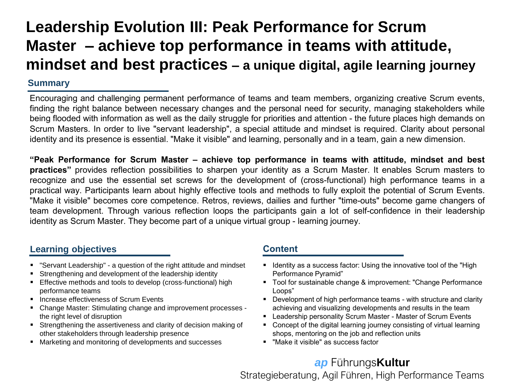# **Leadership Evolution III: Peak Performance for Scrum Master – achieve top performance in teams with attitude, mindset and best practices – a unique digital, agile learning journey**

### **Summary**

Encouraging and challenging permanent performance of teams and team members, organizing creative Scrum events, finding the right balance between necessary changes and the personal need for security, managing stakeholders while being flooded with information as well as the daily struggle for priorities and attention - the future places high demands on Scrum Masters. In order to live "servant leadership", a special attitude and mindset is required. Clarity about personal identity and its presence is essential. "Make it visible" and learning, personally and in a team, gain a new dimension.

**"Peak Performance for Scrum Master – achieve top performance in teams with attitude, mindset and best practices"** provides reflection possibilities to sharpen your identity as a Scrum Master. It enables Scrum masters to recognize and use the essential set screws for the development of (cross-functional) high performance teams in a practical way. Participants learn about highly effective tools and methods to fully exploit the potential of Scrum Events. "Make it visible" becomes core competence. Retros, reviews, dailies and further "time-outs" become game changers of team development. Through various reflection loops the participants gain a lot of self-confidence in their leadership identity as Scrum Master. They become part of a unique virtual group - learning journey.

### **Learning objectives Content**

- "Servant Leadership" a question of the right attitude and mindset
- Strengthening and development of the leadership identity
- **Effective methods and tools to develop (cross-functional) high** performance teams
- Increase effectiveness of Scrum Events
- Change Master: Stimulating change and improvement processes the right level of disruption
- Strengthening the assertiveness and clarity of decision making of other stakeholders through leadership presence
- Marketing and monitoring of developments and successes

- **E** Identity as a success factor: Using the innovative tool of the "High Performance Pyramid"
- Tool for sustainable change & improvement: "Change Performance Loops"
- Development of high performance teams with structure and clarity achieving and visualizing developments and results in the team
- Leadership personality Scrum Master Master of Scrum Events
- Concept of the digital learning journey consisting of virtual learning shops, mentoring on the job and reflection units
- "Make it visible" as success factor

## *ap* Führungs**Kultur**

Strategieberatung, Agil Führen, High Performance Teams